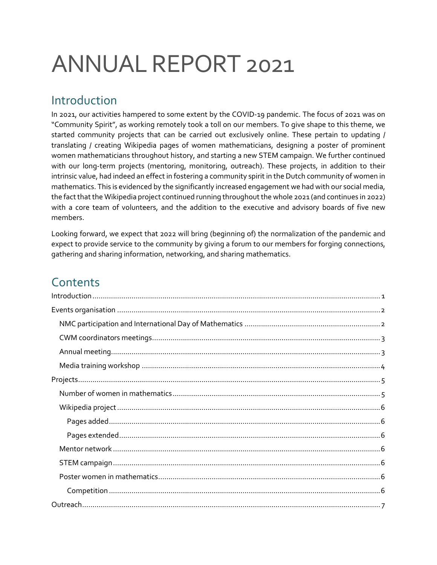# ANNUAL REPORT 2021

# <span id="page-0-0"></span>Introduction

In 2021, our activities hampered to some extent by the COVID-19 pandemic. The focus of 2021 was on "Community Spirit", as working remotely took a toll on our members. To give shape to this theme, we started community projects that can be carried out exclusively online. These pertain to updating / translating / creating Wikipedia pages of women mathematicians, designing a poster of prominent women mathematicians throughout history, and starting a new STEM campaign. We further continued with our long-term projects (mentoring, monitoring, outreach). These projects, in addition to their intrinsic value, had indeed an effect in fostering a community spirit in the Dutch community of women in mathematics. This is evidenced by the significantly increased engagement we had with our social media, the fact that the Wikipedia project continued running throughout the whole 2021 (and continues in 2022) with a core team of volunteers, and the addition to the executive and advisory boards of five new members.

Looking forward, we expect that 2022 will bring (beginning of) the normalization of the pandemic and expect to provide service to the community by giving a forum to our members for forging connections, gathering and sharing information, networking, and sharing mathematics.

# **Contents**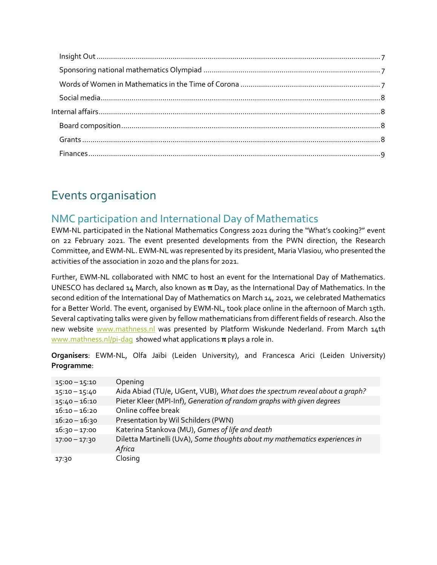# <span id="page-1-0"></span>Events organisation

# <span id="page-1-1"></span>NMC participation and International Day of Mathematics

EWM-NL participated in the National Mathematics Congress 2021 during the "What's cooking?" event on 22 February 2021. The event presented developments from the PWN direction, the Research Committee, and EWM-NL. EWM-NL was represented by its president, Maria Vlasiou, who presented the activities of the association in 2020 and the plans for 2021.

Further, EWM-NL collaborated with NMC to host an event for the International Day of Mathematics. UNESCO has declared 14 March, also known as **π** Day, as the International Day of Mathematics. In the second edition of the International Day of Mathematics on March 14, 2021, we celebrated Mathematics for a Better World. The event, organised by EWM-NL, took place online in the afternoon of March 15th. Several captivating talks were given by fellow mathematicians from different fields of research. Also the new website [www.mathness.nl](http://www.mathness.nl/) was presented by Platform Wiskunde Nederland. From March 14th [www.mathness.nl/pi-dag](http://www.mathness.nl/pi-dag) showed what applications **π** plays a role in.

**Organisers**: EWM-NL, Olfa Jaïbi (Leiden University), and Francesca Arici (Leiden University) **Programme**:

| $15:00 - 15:10$ | Opening                                                                               |
|-----------------|---------------------------------------------------------------------------------------|
| $15:10 - 15:40$ | Aida Abiad (TU/e, UGent, VUB), What does the spectrum reveal about a graph?           |
| $15:40 - 16:10$ | Pieter Kleer (MPI-Inf), Generation of random graphs with given degrees                |
| $16:10 - 16:20$ | Online coffee break                                                                   |
| $16:20 - 16:30$ | Presentation by Wil Schilders (PWN)                                                   |
| $16:30 - 17:00$ | Katerina Stankova (MU), Games of life and death                                       |
| $17:00 - 17:30$ | Diletta Martinelli (UvA), Some thoughts about my mathematics experiences in<br>Africa |
| 17:30           | Closing                                                                               |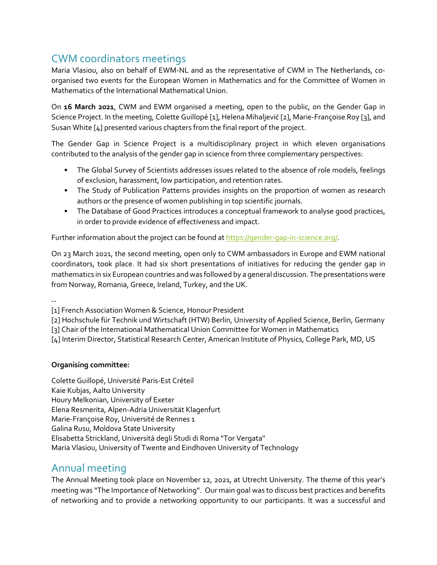# <span id="page-2-0"></span>CWM coordinators meetings

Maria Vlasiou, also on behalf of EWM-NL and as the representative of CWM in The Netherlands, coorganised two events for the European Women in Mathematics and for the Committee of Women in Mathematics of the International Mathematical Union.

On **16 March 2021**, CWM and EWM organised a meeting, open to the public, on the Gender Gap in Science Project. In the meeting, Colette Guillopé [1], Helena Mihaljević [2], Marie-Françoise Roy [3], and Susan White [4] presented various chapters from the final report of the project.

The Gender Gap in Science Project is a multidisciplinary project in which eleven organisations contributed to the analysis of the gender gap in science from three complementary perspectives:

- The Global Survey of Scientists addresses issues related to the absence of role models, feelings of exclusion, harassment, low participation, and retention rates.
- The Study of Publication Patterns provides insights on the proportion of women as research authors or the presence of women publishing in top scientific journals.
- The Database of Good Practices introduces a conceptual framework to analyse good practices, in order to provide evidence of effectiveness and impact.

Further information about the project can be found at [https://gender-gap-in-science.org/.](https://gender-gap-in-science.org/)

On 23 March 2021, the second meeting, open only to CWM ambassadors in Europe and EWM national coordinators, took place. It had six short presentations of initiatives for reducing the gender gap in mathematics in six European countries and was followed by a general discussion. The presentations were from Norway, Romania, Greece, Ireland, Turkey, and the UK.

--

[1] French Association Women & Science, Honour President

[2] Hochschule für Technik und Wirtschaft (HTW) Berlin, University of Applied Science, Berlin, Germany

[3] Chair of the International Mathematical Union Committee for Women in Mathematics

[4] Interim Director, Statistical Research Center, American Institute of Physics, College Park, MD, US

#### **Organising committee:**

Colette Guillopé, Université Paris-Est Créteil Kaie Kubjas, Aalto University Houry Melkonian, University of Exeter Elena Resmerita, Alpen-Adria Universität Klagenfurt Marie-Françoise Roy, Université de Rennes 1 Galina Rusu, Moldova State University Elisabetta Strickland, Università degli Studi di Roma "Tor Vergata" Maria Vlasiou, University of Twente and Eindhoven University of Technology

# <span id="page-2-1"></span>Annual meeting

The Annual Meeting took place on November 12, 2021, at Utrecht University. The theme of this year's meeting was "The Importance of Networking". Our main goal was to discuss best practices and benefits of networking and to provide a networking opportunity to our participants. It was a successful and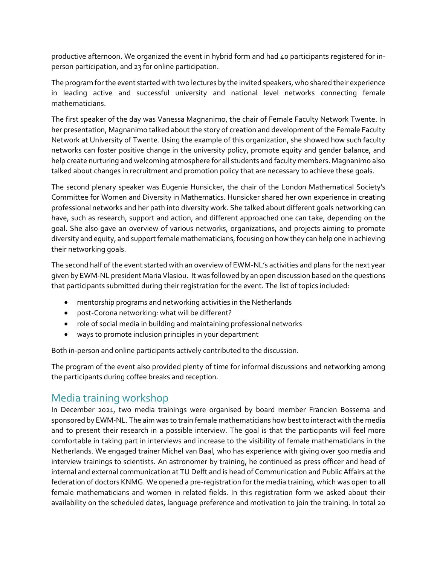productive afternoon. We organized the event in hybrid form and had 40 participants registered for inperson participation, and 23 for online participation.

The program for the event started with two lectures by the invited speakers, who shared their experience in leading active and successful university and national level networks connecting female mathematicians.

The first speaker of the day was Vanessa Magnanimo, the chair of Female Faculty Network Twente. In her presentation, Magnanimo talked about the story of creation and development of the Female Faculty Network at University of Twente. Using the example of this organization, she showed how such faculty networks can foster positive change in the university policy, promote equity and gender balance, and help create nurturing and welcoming atmosphere for all students and faculty members. Magnanimo also talked about changes in recruitment and promotion policy that are necessary to achieve these goals.

The second plenary speaker was Eugenie Hunsicker, the chair of the London Mathematical Society's Committee for Women and Diversity in Mathematics. Hunsicker shared her own experience in creating professional networks and her path into diversity work. She talked about different goals networking can have, such as research, support and action, and different approached one can take, depending on the goal. She also gave an overview of various networks, organizations, and projects aiming to promote diversity and equity, and support female mathematicians, focusing on how they can help one in achieving their networking goals.

The second half of the event started with an overview of EWM-NL's activities and plans for the next year given by EWM-NL president Maria Vlasiou. It was followed by an open discussion based on the questions that participants submitted during their registration for the event. The list of topics included:

- mentorship programs and networking activities in the Netherlands
- post-Corona networking: what will be different?
- role of social media in building and maintaining professional networks
- ways to promote inclusion principles in your department

Both in-person and online participants actively contributed to the discussion.

The program of the event also provided plenty of time for informal discussions and networking among the participants during coffee breaks and reception.

## <span id="page-3-0"></span>Media training workshop

In December 2021, two media trainings were organised by board member Francien Bossema and sponsored by EWM-NL. The aim was to train female mathematicians how best to interact with the media and to present their research in a possible interview. The goal is that the participants will feel more comfortable in taking part in interviews and increase to the visibility of female mathematicians in the Netherlands. We engaged trainer Michel van Baal, who has experience with giving over 500 media and interview trainings to scientists. An astronomer by training, he continued as press officer and head of internal and external communication at TU Delft and is head of Communication and Public Affairs at the federation of doctors KNMG. We opened a pre-registration for the media training, which was open to all female mathematicians and women in related fields. In this registration form we asked about their availability on the scheduled dates, language preference and motivation to join the training. In total 20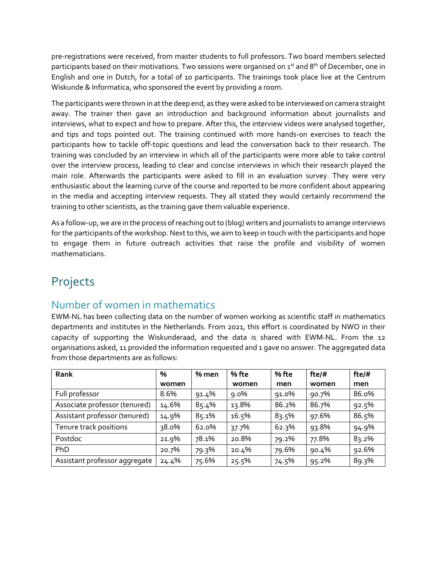pre-registrations were received, from master students to full professors. Two board members selected participants based on their motivations. Two sessions were organised on  $1^{st}$  and  $8^{th}$  of December, one in English and one in Dutch, for a total of 10 participants. The trainings took place live at the Centrum Wiskunde & Informatica, who sponsored the event by providing a room.

The participants were thrown in at the deep end, as they were asked to be interviewed on camera straight away. The trainer then gave an introduction and background information about journalists and interviews, what to expect and how to prepare. After this, the interview videos were analysed together, and tips and tops pointed out. The training continued with more hands-on exercises to teach the participants how to tackle off-topic questions and lead the conversation back to their research. The training was concluded by an interview in which all of the participants were more able to take control over the interview process, leading to clear and concise interviews in which their research played the main role. Afterwards the participants were asked to fill in an evaluation survey. They were very enthusiastic about the learning curve of the course and reported to be more confident about appearing in the media and accepting interview requests. They all stated they would certainly recommend the training to other scientists, as the training gave them valuable experience.

As a follow-up, we are in the process of reaching out to (blog) writers and journalists to arrange interviews for the participants of the workshop. Next to this, we aim to keep in touch with the participants and hope to engage them in future outreach activities that raise the profile and visibility of women mathematicians.

# <span id="page-4-0"></span>Projects

## <span id="page-4-1"></span>Number of women in mathematics

EWM-NL has been collecting data on the number of women working as scientific staff in mathematics departments and institutes in the Netherlands. From 2021, this effort is coordinated by NWO in their capacity of supporting the Wiskunderaad, and the data is shared with EWM-NL. From the 12 organisations asked, 11 provided the information requested and 1 gave no answer. The aggregated data from those departments are as follows:

| Rank                          | %     | % men | % fte   | % fte | fte/# | fte/# |
|-------------------------------|-------|-------|---------|-------|-------|-------|
|                               | women |       | women   | men   | women | men   |
| Full professor                | 8.6%  | 91.4% | $9.0\%$ | 91.0% | 90.7% | 86.0% |
| Associate professor (tenured) | 14.6% | 85.4% | 13.8%   | 86.2% | 86.7% | 92.5% |
| Assistant professor (tenured) | 14.9% | 85.1% | 16.5%   | 83.5% | 97.6% | 86.5% |
| Tenure track positions        | 38.0% | 62.0% | 37.7%   | 62.3% | 93.8% | 94.9% |
| Postdoc                       | 21.9% | 78.1% | 20.8%   | 79.2% | 77.8% | 83.2% |
| PhD                           | 20.7% | 79.3% | 20.4%   | 79.6% | 90.4% | 92.6% |
| Assistant professor aggregate | 24.4% | 75.6% | 25.5%   | 74.5% | 95.2% | 89.3% |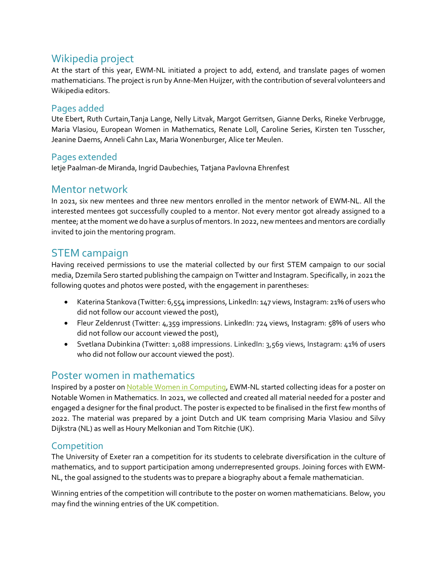## <span id="page-5-0"></span>Wikipedia project

At the start of this year, EWM-NL initiated a project to add, extend, and translate pages of women mathematicians. The project is run by Anne-Men Huijzer, with the contribution of several volunteers and Wikipedia editors.

#### <span id="page-5-1"></span>Pages added

Ute Ebert, Ruth Curtain,Tanja Lange, Nelly Litvak, Margot Gerritsen, Gianne Derks, Rineke Verbrugge, Maria Vlasiou, European Women in Mathematics, Renate Loll, Caroline Series, Kirsten ten Tusscher, Jeanine Daems, Anneli Cahn Lax, Maria Wonenburger, Alice ter Meulen.

#### <span id="page-5-2"></span>Pages extended

Ietje Paalman-de Miranda, Ingrid Daubechies, Tatjana Pavlovna Ehrenfest

#### <span id="page-5-3"></span>Mentor network

In 2021, six new mentees and three new mentors enrolled in the mentor network of EWM-NL. All the interested mentees got successfully coupled to a mentor. Not every mentor got already assigned to a mentee; at the moment we do have a surplus of mentors. In 2022, new mentees and mentors are cordially invited to join the mentoring program.

#### <span id="page-5-4"></span>STEM campaign

Having received permissions to use the material collected by our first STEM campaign to our social media, Dzemila Sero started publishing the campaign on Twitter and Instagram. Specifically, in 2021 the following quotes and photos were posted, with the engagement in parentheses:

- Katerina Stankova (Twitter: 6,554 impressions, LinkedIn: 147 views, Instagram: 21% of users who did not follow our account viewed the post),
- Fleur Zeldenrust (Twitter: 4,359 impressions. LinkedIn: 724 views, Instagram: 58% of users who did not follow our account viewed the post),
- Svetlana Dubinkina (Twitter: 1,088 impressions. LinkedIn: 3,569 views, Instagram: 41% of users who did not follow our account viewed the post).

## <span id="page-5-5"></span>Poster women in mathematics

Inspired by a poster on [Notable Women in Computing,](https://notabletechnicalwomen.org/) EWM-NL started collecting ideas for a poster on Notable Women in Mathematics. In 2021, we collected and created all material needed for a poster and engaged a designer for the final product. The poster is expected to be finalised in the first few months of 2022. The material was prepared by a joint Dutch and UK team comprising Maria Vlasiou and Silvy Dijkstra (NL) as well as Houry Melkonian and Tom Ritchie (UK).

#### <span id="page-5-6"></span>**Competition**

The University of Exeter ran a competition for its students to celebrate diversification in the culture of mathematics, and to support participation among underrepresented groups. Joining forces with EWM-NL, the goal assigned to the students was to prepare a biography about a female mathematician.

Winning entries of the competition will contribute to the poster on women mathematicians. Below, you may find the winning entries of the UK competition.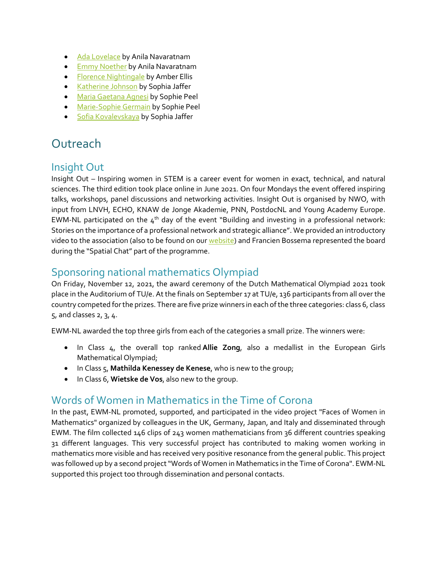- [Ada Lovelace](https://www.ewmnetherlands.nl/wp-content/uploads/2021/07/Ada-Byron-King-Lovelace.pdf) by Anila Navaratnam
- [Emmy Noether](https://www.ewmnetherlands.nl/wp-content/uploads/2021/07/Emmy-Noether.pdf) by Anila Navaratnam
- [Florence Nightingale](https://www.ewmnetherlands.nl/wp-content/uploads/2021/07/Florence-Nightingale-.pdf) by Amber Ellis
- [Katherine Johnson](https://www.ewmnetherlands.nl/wp-content/uploads/2021/07/Katherine-Johnson.pdf) by Sophia Jaffer
- [Maria Gaetana Agnesi](https://www.ewmnetherlands.nl/wp-content/uploads/2021/09/Maria-Gaetana-Agnesi.pdf) by Sophie Peel
- [Marie-Sophie Germain](https://www.ewmnetherlands.nl/wp-content/uploads/2021/09/Marie-Sophie-Germain.pdf) by Sophie Peel
- [Sofia Kovalevskaya](https://www.ewmnetherlands.nl/wp-content/uploads/2021/07/Sofia-Kovalevskaya.pdf) by Sophia Jaffer

# <span id="page-6-0"></span>**Outreach**

#### <span id="page-6-1"></span>Insight Out

Insight Out – Inspiring women in STEM is a career event for women in exact, technical, and natural sciences. The third edition took place online in June 2021. On four Mondays the event offered inspiring talks, workshops, panel discussions and networking activities. Insight Out is organised by NWO, with input from LNVH, ECHO, KNAW de Jonge Akademie, PNN, PostdocNL and Young Academy Europe. EWM-NL participated on the  $4<sup>th</sup>$  day of the event "Building and investing in a professional network: Stories on the importance of a professional network and strategic alliance". We provided an introductory video to the association (also to be found on ou[r website\)](https://www.ewmnetherlands.nl/wp-content/uploads/2021/06/EWM-NL-introduction-video.mp4) and Francien Bossema represented the board during the "Spatial Chat" part of the programme.

#### <span id="page-6-2"></span>Sponsoring national mathematics Olympiad

On Friday, November 12, 2021, the award ceremony of the Dutch Mathematical Olympiad 2021 took place in the Auditorium of TU/e. At the finals on September 17 at TU/e, 136 participants from all over the country competed for the prizes. There are five prize winners in each of the three categories: class 6, class 5, and classes 2, 3, 4.

EWM-NL awarded the top three girls from each of the categories a small prize. The winners were:

- In Class 4, the overall top ranked **Allie Zong**, also a medallist in the European Girls Mathematical Olympiad;
- In Class 5, **Mathilda Kenessey de Kenese**, who is new to the group;
- In Class 6, **Wietske de Vos**, also new to the group.

## <span id="page-6-3"></span>Words of Women in Mathematics in the Time of Corona

In the past, EWM-NL promoted, supported, and participated in the video project "Faces of Women in Mathematics" organized by colleagues in the UK, Germany, Japan, and Italy and disseminated through EWM. The film collected 146 clips of 243 women mathematicians from 36 different countries speaking 31 different languages. This very successful project has contributed to making women working in mathematics more visible and has received very positive resonance from the general public. This project was followed up by a second project "Words of Women in Mathematics in the Time of Corona". EWM-NL supported this project too through dissemination and personal contacts.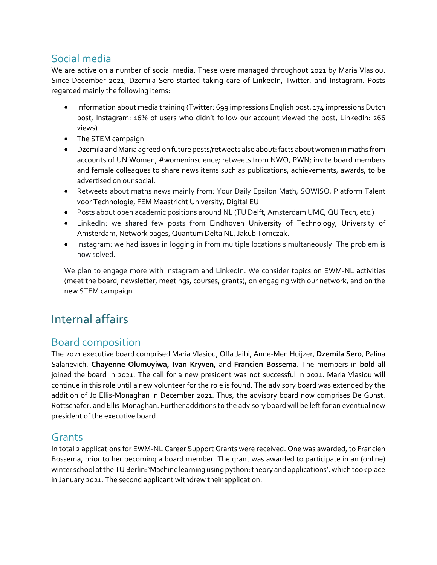# <span id="page-7-0"></span>Social media

We are active on a number of social media. These were managed throughout 2021 by Maria Vlasiou. Since December 2021, Dzemila Sero started taking care of LinkedIn, Twitter, and Instagram. Posts regarded mainly the following items:

- Information about media training (Twitter: 699 impressions English post, 174 impressions Dutch post, Instagram: 16% of users who didn't follow our account viewed the post, LinkedIn: 266 views)
- The STEM campaign
- Dzemila and Maria agreed on future posts/retweets also about: facts about women in maths from accounts of UN Women, #womeninscience; retweets from NWO, PWN; invite board members and female colleagues to share news items such as publications, achievements, awards, to be advertised on our social.
- Retweets about maths news mainly from: Your Daily Epsilon Math, SOWISO, Platform Talent voor Technologie, FEM Maastricht University, Digital EU
- Posts about open academic positions around NL (TU Delft, Amsterdam UMC, QU Tech, etc.)
- LinkedIn: we shared few posts from Eindhoven University of Technology, University of Amsterdam, Network pages, Quantum Delta NL, Jakub Tomczak.
- Instagram: we had issues in logging in from multiple locations simultaneously. The problem is now solved.

We plan to engage more with Instagram and LinkedIn. We consider topics on EWM-NL activities (meet the board, newsletter, meetings, courses, grants), on engaging with our network, and on the new STEM campaign.

# <span id="page-7-1"></span>Internal affairs

# <span id="page-7-2"></span>Board composition

The 2021 executive board comprised Maria Vlasiou, Olfa Jaibi, Anne-Men Huijzer, **Dzemila Sero**, Palina Salanevich, **Chayenne Olumuyiwa, Ivan Kryven**, and **Francien Bossema**. The members in **bold** all joined the board in 2021. The call for a new president was not successful in 2021. Maria Vlasiou will continue in this role until a new volunteer for the role is found. The advisory board was extended by the addition of Jo Ellis-Monaghan in December 2021. Thus, the advisory board now comprises De Gunst, Rottschäfer, and Ellis-Monaghan. Further additions to the advisory board will be left for an eventual new president of the executive board.

## <span id="page-7-3"></span>Grants

In total 2 applications for EWM-NL Career Support Grants were received. One was awarded, to Francien Bossema, prior to her becoming a board member. The grant was awarded to participate in an (online) winter school at the TU Berlin: 'Machine learning using python: theory and applications', which took place in January 2021. The second applicant withdrew their application.